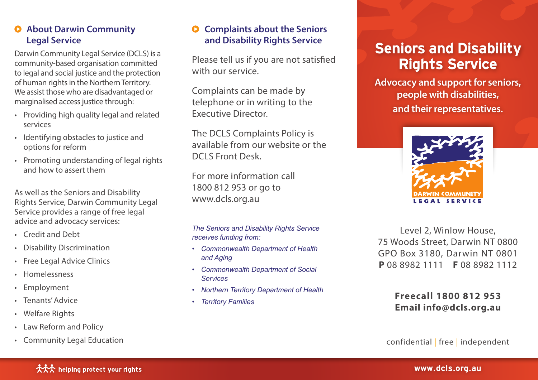#### **About Darwin Community Legal Service**

Darwin Community Legal Service (DCLS) is a community-based organisation committed to legal and social justice and the protection of human rights in the Northern Territory. We assist those who are disadvantaged or marginalised access justice through:

- Providing high quality legal and related services
- Identifying obstacles to justice and options for reform
- Promoting understanding of legal rights and how to assert them

As well as the Seniors and Disability Rights Service, Darwin Community Legal Service provides a range of free legal advice and advocacy services:

- Credit and Debt
- Disability Discrimination
- Free Legal Advice Clinics
- Homelessness
- Employment
- Tenants' Advice
- Welfare Rights
- Law Reform and Policy
- Community Legal Education

### **Complaints about the Seniors and Disability Rights Service**

Please tell us if you are not satisfied with our service.

Complaints can be made by telephone or in writing to the Executive Director.

The DCLS Complaints Policy is available from our website or the DCLS Front Desk.

For more information call 1800 812 953 or go to www.dcls.org.au

*The Seniors and Disability Rights Service receives funding from:*

- *• Commonwealth Department of Health and Aging*
- *• Commonwealth Department of Social Services*
- *• Northern Territory Department of Health*
- *• Territory Families*

# Seniors and Disability Rights Service

**Advocacy and support for seniors, people with disabilities, and their representatives.**



Level 2, Winlow House, 75 Woods Street, Darwin NT 0800 GPO Box 3180, Darwin NT 0801 **P** 08 8982 1111 **F** 08 8982 1112

## **Freecall 1800 812 953 Email info@dcls.org.au**

confidential | free | independent